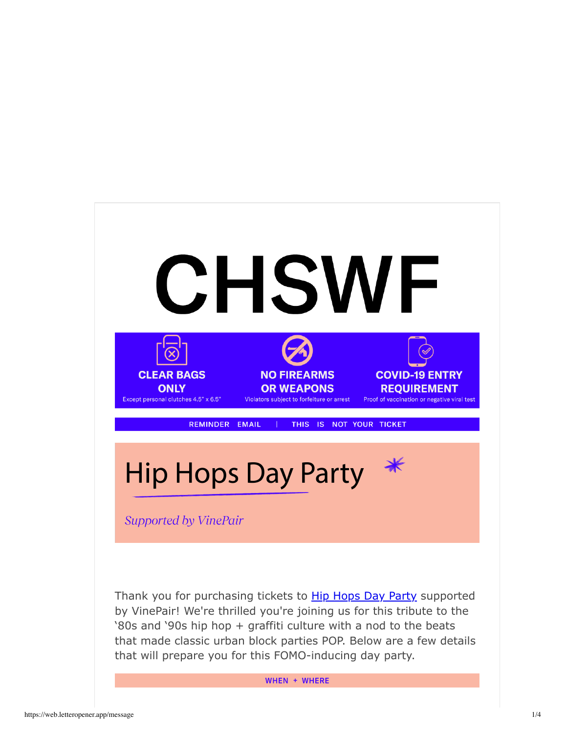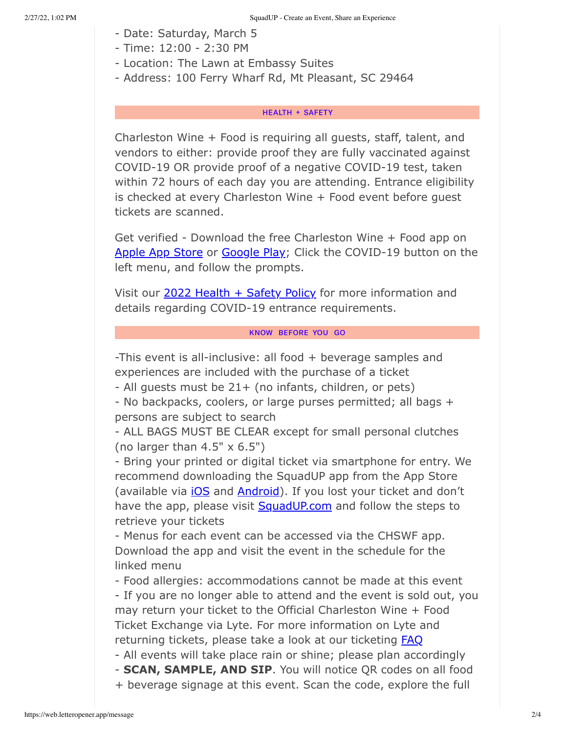- Date: Saturday, March 5
- Time: 12:00 2:30 PM
- Location: The Lawn at Embassy Suites
- Address: 100 Ferry Wharf Rd, Mt Pleasant, SC 29464

## **HEALTH + SAFETY**

Charleston Wine + Food is requiring all guests, staff, talent, and vendors to either: provide proof they are fully vaccinated against COVID-19 OR provide proof of a negative COVID-19 test, taken within 72 hours of each day you are attending. Entrance eligibility is checked at every Charleston Wine + Food event before guest tickets are scanned.

Get verified - Download the free Charleston Wine + Food app on Apple App Store or Google Play; Click the COVID-19 button on the left menu, and follow the prompts.

Visit our 2022 Health + Safety Policy for more information and details regarding COVID-19 entrance requirements.

## KNOW BEFORE YOU GO

-This event is all-inclusive: all food + beverage samples and experiences are included with the purchase of a ticket

- All guests must be 21+ (no infants, children, or pets)

- No backpacks, coolers, or large purses permitted; all bags + persons are subject to search

- ALL BAGS MUST BE CLEAR except for small personal clutches (no larger than  $4.5" \times 6.5"$ )

- Bring your printed or digital ticket via smartphone for entry. We recommend downloading the SquadUP app from the App Store (available via *iOS* and **Android**). If you lost your ticket and don't have the app, please visit SquadUP.com and follow the steps to retrieve your tickets

- Menus for each event can be accessed via the CHSWF app. Download the app and visit the event in the schedule for the linked menu

- Food allergies: accommodations cannot be made at this event - If you are no longer able to attend and the event is sold out, you may return your ticket to the Official Charleston Wine + Food Ticket Exchange via Lyte. For more information on Lyte and returning tickets, please take a look at our ticketing **FAQ** 

- All events will take place rain or shine; please plan accordingly - **SCAN, SAMPLE, AND SIP**. You will notice QR codes on all food

+ beverage signage at this event. Scan the code, explore the full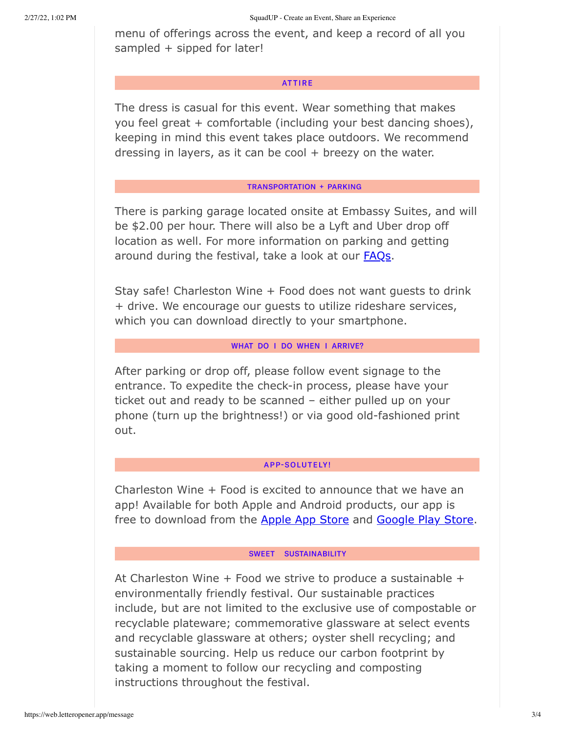menu of offerings across the event, and keep a record of all you sampled + sipped for later!

### **ATTIRE**

The dress is casual for this event. Wear something that makes you feel great + comfortable (including your best dancing shoes), keeping in mind this event takes place outdoors. We recommend dressing in layers, as it can be cool  $+$  breezy on the water.

### **TRANSPORTATION + PARKING**

There is parking garage located onsite at Embassy Suites, and will be \$2.00 per hour. There will also be a Lyft and Uber drop off location as well. For more information on parking and getting around during the festival, take a look at our **FAQs**.

Stay safe! Charleston Wine + Food does not want guests to drink + drive. We encourage our guests to utilize rideshare services, which you can download directly to your smartphone.

# WHAT DO I DO WHEN I ARRIVE?

After parking or drop off, please follow event signage to the entrance. To expedite the check-in process, please have your ticket out and ready to be scanned – either pulled up on your phone (turn up the brightness!) or via good old-fashioned print out.

# **APP-SOLUTELY!**

Charleston Wine + Food is excited to announce that we have an app! Available for both Apple and Android products, our app is free to download from the Apple App Store and Google Play Store.

#### SWEET SUSTAINABILITY

At Charleston Wine  $+$  Food we strive to produce a sustainable  $+$ environmentally friendly festival. Our sustainable practices include, but are not limited to the exclusive use of compostable or recyclable plateware; commemorative glassware at select events and recyclable glassware at others; oyster shell recycling; and sustainable sourcing. Help us reduce our carbon footprint by taking a moment to follow our recycling and composting instructions throughout the festival.